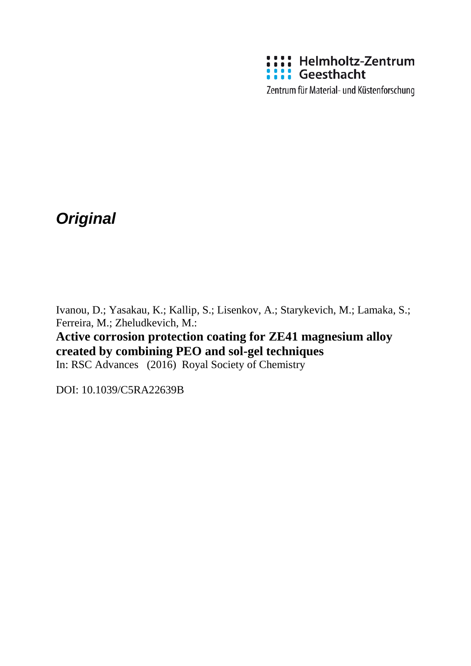

*Original*

Ivanou, D.; Yasakau, K.; Kallip, S.; Lisenkov, A.; Starykevich, M.; Lamaka, S.; Ferreira, M.; Zheludkevich, M.:

# **Active corrosion protection coating for ZE41 magnesium alloy created by combining PEO and sol-gel techniques**

In: RSC Advances (2016) Royal Society of Chemistry

DOI: 10.1039/C5RA22639B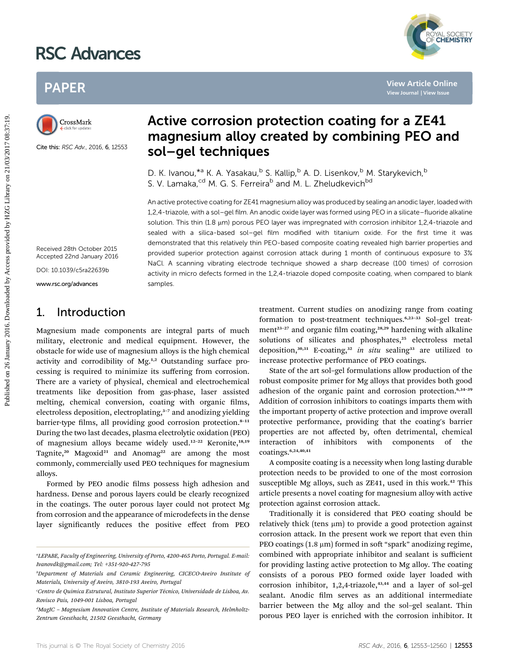# RSC Advances





Cite this: RSC Adv., 2016, 6, 12553

## Active corrosion protection coating for a ZE41 magnesium alloy created by combining PEO and sol–gel techniques

D. K. Ivanou, \*<sup>a</sup> K. A. Yasakau, <sup>b</sup> S. Kallip, <sup>b</sup> A. D. Lisenkov, <sup>b</sup> M. Starykevich, <sup>b</sup> S. V. Lamaka,<sup>cd</sup> M. G. S. Ferreira<sup>b</sup> and M. L. Zheludkevich<sup>bd</sup>

An active protective coating for ZE41 magnesium alloy was produced by sealing an anodic layer, loaded with 1,2,4-triazole, with a sol–gel film. An anodic oxide layer was formed using PEO in a silicate–fluoride alkaline solution. This thin (1.8 µm) porous PEO layer was impregnated with corrosion inhibitor 1,2,4-triazole and sealed with a silica-based sol–gel film modified with titanium oxide. For the first time it was demonstrated that this relatively thin PEO-based composite coating revealed high barrier properties and provided superior protection against corrosion attack during 1 month of continuous exposure to 3% NaCl. A scanning vibrating electrode technique showed a sharp decrease (100 times) of corrosion activity in micro defects formed in the 1,2,4-triazole doped composite coating, when compared to blank samples. PAPER<br>
Published on 26 January 2016<br>
Considered by complining PEO ancess provided by the state of the state of the state of the state of the state of the state of the state of the state of the state of the state of the sta

Received 28th October 2015 Accepted 22nd January 2016

DOI: 10.1039/c5ra22639b

www.rsc.org/advances

### 1. Introduction

Magnesium made components are integral parts of much military, electronic and medical equipment. However, the obstacle for wide use of magnesium alloys is the high chemical activity and corrodibility of Mg.<sup>1,2</sup> Outstanding surface processing is required to minimize its suffering from corrosion. There are a variety of physical, chemical and electrochemical treatments like deposition from gas-phase, laser assisted melting, chemical conversion, coating with organic films, electroless deposition, electroplating,<sup>3-7</sup> and anodizing yielding barrier-type films, all providing good corrosion protection.<sup>8-11</sup> During the two last decades, plasma electrolytic oxidation (PEO) of magnesium alloys became widely used.<sup>12-22</sup> Keronite,<sup>18,19</sup> Tagnite,<sup>20</sup> Magoxid<sup>21</sup> and Anomag<sup>22</sup> are among the most commonly, commercially used PEO techniques for magnesium alloys.

Formed by PEO anodic films possess high adhesion and hardness. Dense and porous layers could be clearly recognized in the coatings. The outer porous layer could not protect Mg from corrosion and the appearance of microdefects in the dense layer signicantly reduces the positive effect from PEO

treatment. Current studies on anodizing range from coating formation to post-treatment techniques.<sup>6,23-33</sup> Sol-gel treatment<sup>23-27</sup> and organic film coating,<sup>28,29</sup> hardening with alkaline solutions of silicates and phosphates,<sup>25</sup> electroless metal deposition,<sup>30,31</sup> E-coating,<sup>32</sup> in situ sealing<sup>33</sup> are utilized to increase protective performance of PEO coatings.

State of the art sol–gel formulations allow production of the robust composite primer for Mg alloys that provides both good adhesion of the organic paint and corrosion protection.<sup>6,34-39</sup> Addition of corrosion inhibitors to coatings imparts them with the important property of active protection and improve overall protective performance, providing that the coating's barrier properties are not affected by, often detrimental, chemical interaction of inhibitors with components of the coatings.6,24,40,41

A composite coating is a necessity when long lasting durable protection needs to be provided to one of the most corrosion susceptible Mg alloys, such as ZE41, used in this work.<sup>42</sup> This article presents a novel coating for magnesium alloy with active protection against corrosion attack.

Traditionally it is considered that PEO coating should be relatively thick (tens  $\mu$ m) to provide a good protection against corrosion attack. In the present work we report that even thin PEO coatings  $(1.8 \mu m)$  formed in soft "spark" anodizing regime, combined with appropriate inhibitor and sealant is sufficient for providing lasting active protection to Mg alloy. The coating consists of a porous PEO formed oxide layer loaded with corrosion inhibitor, 1,2,4-triazole,<sup>43,44</sup> and a layer of sol-gel sealant. Anodic film serves as an additional intermediate barrier between the Mg alloy and the sol–gel sealant. Thin porous PEO layer is enriched with the corrosion inhibitor. It



a LEPABE, Faculty of Engineering, University of Porto, 4200-465 Porto, Portugal. E-mail: Ivanovdk@gmail.com; Tel: +351-920-427-795

b Department of Materials and Ceramic Engineering, CICECO-Aveiro Institute of Materials, University of Aveiro, 3810-193 Aveiro, Portugal

<sup>&#</sup>x27;Centro de Quimica Estrutural, Instituto Superior Técnico, Universidade de Lisboa, Av. Rovisco Pais, 1049-001 Lisboa, Portugal

<sup>&</sup>lt;sup>d</sup>MagIC - Magnesium Innovation Centre, Institute of Materials Research, Helmholtz-Zentrum Geesthacht, 21502 Geesthacht, Germany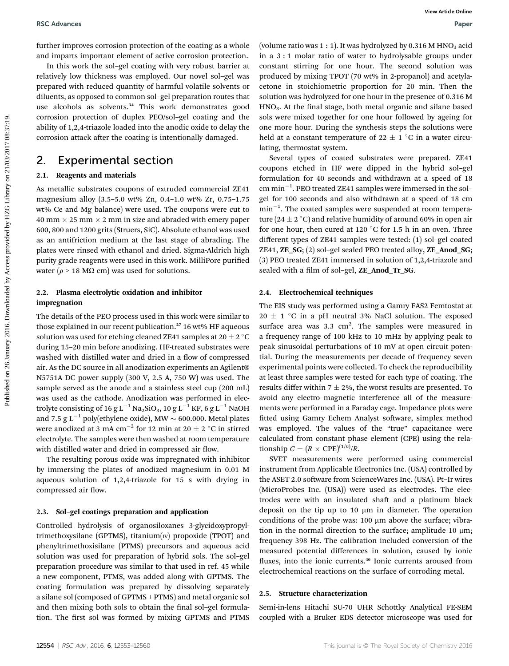further improves corrosion protection of the coating as a whole and imparts important element of active corrosion protection.

In this work the sol–gel coating with very robust barrier at relatively low thickness was employed. Our novel sol–gel was prepared with reduced quantity of harmful volatile solvents or diluents, as opposed to common sol–gel preparation routes that use alcohols as solvents.<sup>34</sup> This work demonstrates good corrosion protection of duplex PEO/sol–gel coating and the ability of 1,2,4-triazole loaded into the anodic oxide to delay the corrosion attack after the coating is intentionally damaged.

### 2. Experimental section

#### 2.1. Reagents and materials

As metallic substrates coupons of extruded commercial ZE41 magnesium alloy (3.5–5.0 wt% Zn, 0.4–1.0 wt% Zr, 0.75–1.75 wt% Ce and Mg balance) were used. The coupons were cut to 40 mm  $\times$  25 mm  $\times$  2 mm in size and abraded with emery paper 600, 800 and 1200 grits (Struers, SiC). Absolute ethanol was used as an antifriction medium at the last stage of abrading. The plates were rinsed with ethanol and dried. Sigma-Aldrich high purity grade reagents were used in this work. MilliPore purified water ( $\rho$  > 18 M $\Omega$  cm) was used for solutions.

#### 2.2. Plasma electrolytic oxidation and inhibitor impregnation

The details of the PEO process used in this work were similar to those explained in our recent publication.<sup>27</sup> 16 wt% HF aqueous solution was used for etching cleaned ZE41 samples at  $20 \pm 2^{\circ}$ C during 15–20 min before anodizing. HF-treated substrates were washed with distilled water and dried in a flow of compressed air. As the DC source in all anodization experiments an Agilent® N5751A DC power supply (300 V, 2.5 A, 750 W) was used. The sample served as the anode and a stainless steel cup (200 mL) was used as the cathode. Anodization was performed in electrolyte consisting of 16 g L<sup>-1</sup> Na<sub>2</sub>SiO<sub>3</sub>, 10 g L<sup>-1</sup> KF, 6 g L<sup>-1</sup> NaOH and 7.5 g L<sup>-1</sup> poly(ethylene oxide), MW  $\sim$  600.000. Metal plates were anodized at 3 mA cm<sup>-2</sup> for 12 min at 20  $\pm$  2 °C in stirred electrolyte. The samples were then washed at room temperature with distilled water and dried in compressed air flow.

The resulting porous oxide was impregnated with inhibitor by immersing the plates of anodized magnesium in 0.01 M aqueous solution of 1,2,4-triazole for 15 s with drying in compressed air flow.

#### 2.3. Sol–gel coatings preparation and application

Controlled hydrolysis of organosiloxanes 3-glycidoxypropyltrimethoxysilane (GPTMS), titanium $(w)$  propoxide (TPOT) and phenyltrimethoxisilane (PTMS) precursors and aqueous acid solution was used for preparation of hybrid sols. The sol–gel preparation procedure was similar to that used in ref. 45 while a new component, PTMS, was added along with GPTMS. The coating formulation was prepared by dissolving separately a silane sol (composed of GPTMS + PTMS) and metal organic sol and then mixing both sols to obtain the final sol-gel formulation. The first sol was formed by mixing GPTMS and PTMS

(volume ratio was 1 : 1). It was hydrolyzed by 0.316 M HNO<sub>3</sub> acid in a 3 : 1 molar ratio of water to hydrolysable groups under constant stirring for one hour. The second solution was produced by mixing TPOT (70 wt% in 2-propanol) and acetylacetone in stoichiometric proportion for 20 min. Then the solution was hydrolyzed for one hour in the presence of 0.316 M HNO<sub>3</sub>. At the final stage, both metal organic and silane based sols were mixed together for one hour followed by ageing for one more hour. During the synthesis steps the solutions were held at a constant temperature of 22  $\pm$  1 °C in a water circulating, thermostat system.

Several types of coated substrates were prepared. ZE41 coupons etched in HF were dipped in the hybrid sol–gel formulation for 40 seconds and withdrawn at a speed of 18  $cm \, min^{-1}$ . PEO treated ZE41 samples were immersed in the solgel for 100 seconds and also withdrawn at a speed of 18 cm  $min^{-1}$ . The coated samples were suspended at room temperature (24  $\pm$  2 °C) and relative humidity of around 60% in open air for one hour, then cured at 120  $\degree$ C for 1.5 h in an oven. Three different types of ZE41 samples were tested: (1) sol–gel coated ZE41, ZE\_SG; (2) sol–gel sealed PEO treated alloy, ZE\_Anod\_SG; (3) PEO treated ZE41 immersed in solution of 1,2,4-triazole and sealed with a film of sol-gel, ZE\_Anod\_Tr\_SG. RSC Absences<br>
Further improvises correction of the cosing are whole (continuations 1.1). It was hytelly collected to the main of<br>
an in this way in the cosing correction of the cosing correction of the cosing correction of

#### 2.4. Electrochemical techniques

The EIS study was performed using a Gamry FAS2 Femtostat at  $20 \pm 1$  °C in a pH neutral 3% NaCl solution. The exposed surface area was  $3.3 \text{ cm}^2$ . The samples were measured in a frequency range of 100 kHz to 10 mHz by applying peak to peak sinusoidal perturbations of 10 mV at open circuit potential. During the measurements per decade of frequency seven experimental points were collected. To check the reproducibility at least three samples were tested for each type of coating. The results differ within  $7 \pm 2\%$ , the worst results are presented. To avoid any electro–magnetic interference all of the measurements were performed in a Faraday cage. Impedance plots were fitted using Gamry Echem Analyst software, simplex method was employed. The values of the "true" capacitance were calculated from constant phase element (CPE) using the relationship  $C = (R \times \text{CPE})^{(1/n)}/R$ .

SVET measurements were performed using commercial instrument from Applicable Electronics Inc. (USA) controlled by the ASET 2.0 software from ScienceWares Inc. (USA). Pt-Ir wires (MicroProbes Inc. (USA)) were used as electrodes. The electrodes were with an insulated shaft and a platinum black deposit on the tip up to 10  $\mu$ m in diameter. The operation conditions of the probe was:  $100 \mu m$  above the surface; vibration in the normal direction to the surface; amplitude 10  $\mu$ m; frequency 398 Hz. The calibration included conversion of the measured potential differences in solution, caused by ionic fluxes, into the ionic currents.<sup>46</sup> Ionic currents aroused from electrochemical reactions on the surface of corroding metal.

#### 2.5. Structure characterization

Semi-in-lens Hitachi SU-70 UHR Schottky Analytical FE-SEM coupled with a Bruker EDS detector microscope was used for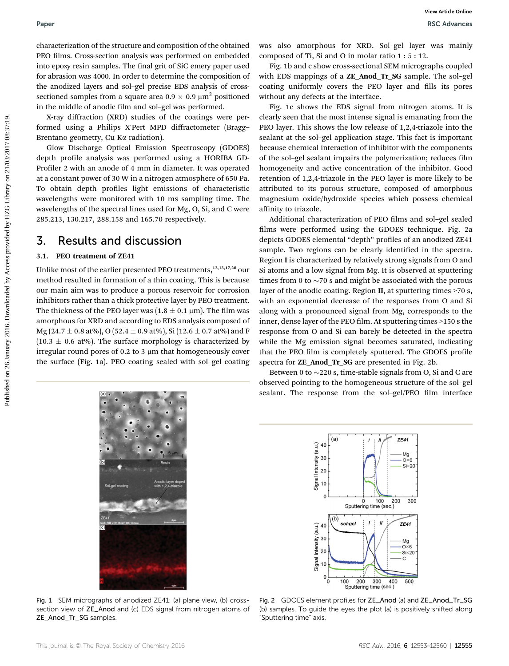characterization of the structure and composition of the obtained PEO films. Cross-section analysis was performed on embedded into epoxy resin samples. The final grit of SiC emery paper used for abrasion was 4000. In order to determine the composition of the anodized layers and sol–gel precise EDS analysis of crosssectioned samples from a square area  $0.9 \times 0.9 \mu m^2$  positioned in the middle of anodic film and sol-gel was performed.

X-ray diffraction (XRD) studies of the coatings were performed using a Philips X'Pert MPD diffractometer (Bragg– Brentano geometry, Cu K $\alpha$  radiation).

Glow Discharge Optical Emission Spectroscopy (GDOES) depth profile analysis was performed using a HORIBA GD-Profiler 2 with an anode of 4 mm in diameter. It was operated at a constant power of 30 W in a nitrogen atmosphere of 650 Pa. To obtain depth profiles light emissions of characteristic wavelengths were monitored with 10 ms sampling time. The wavelengths of the spectral lines used for Mg, O, Si, and C were 285.213, 130.217, 288.158 and 165.70 respectively.

### 3. Results and discussion

#### 3.1. PEO treatment of ZE41

Unlike most of the earlier presented PEO treatments,<sup>12,13,17,28</sup> our method resulted in formation of a thin coating. This is because our main aim was to produce a porous reservoir for corrosion inhibitors rather than a thick protective layer by PEO treatment. The thickness of the PEO layer was  $(1.8 \pm 0.1 \,\mu\text{m})$ . The film was amorphous for XRD and according to EDS analysis composed of Mg (24.7  $\pm$  0.8 at%), O (52.4  $\pm$  0.9 at%), Si (12.6  $\pm$  0.7 at%) and F  $(10.3 \pm 0.6 \text{ at\%})$ . The surface morphology is characterized by irregular round pores of 0.2 to 3  $\mu$ m that homogeneously cover the surface (Fig. 1a). PEO coating sealed with sol–gel coating

was also amorphous for XRD. Sol–gel layer was mainly composed of Ti, Si and O in molar ratio 1 : 5 : 12.

Fig. 1b and c show cross-sectional SEM micrographs coupled with EDS mappings of a ZE\_Anod\_Tr\_SG sample. The sol–gel coating uniformly covers the PEO layer and fills its pores without any defects at the interface.

Fig. 1c shows the EDS signal from nitrogen atoms. It is clearly seen that the most intense signal is emanating from the PEO layer. This shows the low release of 1,2,4-triazole into the sealant at the sol–gel application stage. This fact is important because chemical interaction of inhibitor with the components of the sol-gel sealant impairs the polymerization; reduces film homogeneity and active concentration of the inhibitor. Good retention of 1,2,4-triazole in the PEO layer is more likely to be attributed to its porous structure, composed of amorphous magnesium oxide/hydroxide species which possess chemical affinity to triazole.

Additional characterization of PEO films and sol-gel sealed films were performed using the GDOES technique. Fig. 2a depicts GDOES elemental "depth" profiles of an anodized ZE41 sample. Two regions can be clearly identified in the spectra. Region I is characterized by relatively strong signals from O and Si atoms and a low signal from Mg. It is observed at sputtering times from 0 to  $\sim$ 70 s and might be associated with the porous layer of the anodic coating. Region II, at sputtering times >70 s, with an exponential decrease of the responses from O and Si along with a pronounced signal from Mg, corresponds to the inner, dense layer of the PEO film. At sputtering times >150 s the response from O and Si can barely be detected in the spectra while the Mg emission signal becomes saturated, indicating that the PEO film is completely sputtered. The GDOES profile spectra for ZE\_Anod\_Tr\_SG are presented in Fig. 2b. Puber<br>
Public and the state of the state of the state of the state of the state of the state of the state of the state of the state of the state of the state of the state of the state of the state of the state of the state

Between 0 to  $\sim$  220 s, time-stable signals from O, Si and C are observed pointing to the homogeneous structure of the sol–gel sealant. The response from the sol-gel/PEO film interface

 $ZE41$ 

Mg<br>O×6

 $Si \times 20$ 

300

500

sol-gel  $\mathbf{I}$  $\mathbf{u}$  $ZE41$ 40 Intensity (a.u.)  $3<sub>0</sub>$ Mg<br>-O×6  $20$  $Si\times 20$ Signal C.  $10$  $\mathbf 0$ ΄o 100 200 300 400<br>Sputtering time (sec.)

 $(b)$ 

 $(a)$ 

40 Intensity (a.u.)

30

 $20$ Signal I 10  $\Omega$ 

Fig. 1 SEM micrographs of anodized ZE41: (a) plane view, (b) crosssection view of ZE\_Anod and (c) EDS signal from nitrogen atoms of ZE\_Anod\_Tr\_SG samples.

Fig. 2 GDOES element profiles for ZE\_Anod (a) and ZE\_Anod\_Tr\_SG (b) samples. To guide the eyes the plot (a) is positively shifted along "Sputtering time" axis.

 $0$  100 200<br>Sputtering time (sec.)

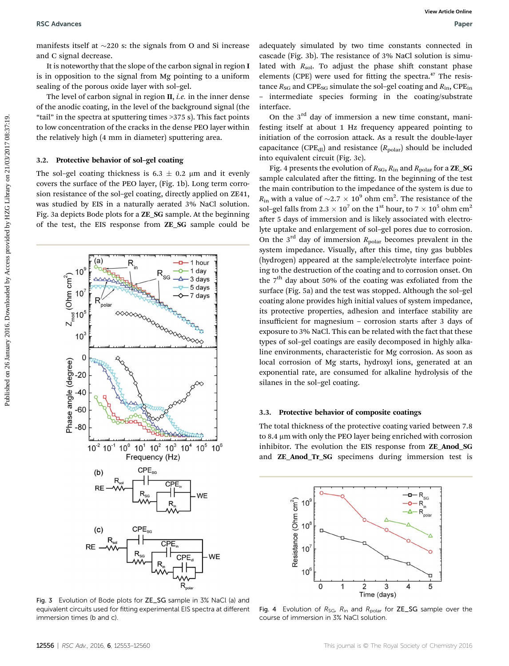manifests itself at  $\sim$ 220 s: the signals from O and Si increase and C signal decrease.

It is noteworthy that the slope of the carbon signal in region I is in opposition to the signal from Mg pointing to a uniform sealing of the porous oxide layer with sol–gel.

The level of carbon signal in region  $II$ , *i.e.* in the inner dense of the anodic coating, in the level of the background signal (the "tail" in the spectra at sputtering times >375 s). This fact points to low concentration of the cracks in the dense PEO layer within the relatively high (4 mm in diameter) sputtering area.

#### 3.2. Protective behavior of sol–gel coating

The sol–gel coating thickness is 6.3  $\pm$  0.2 µm and it evenly covers the surface of the PEO layer, (Fig. 1b). Long term corrosion resistance of the sol–gel coating, directly applied on ZE41, was studied by EIS in a naturally aerated 3% NaCl solution. Fig. 3a depicts Bode plots for a ZE\_SG sample. At the beginning of the test, the EIS response from ZE\_SG sample could be



Fig. 3 Evolution of Bode plots for ZE\_SG sample in 3% NaCl (a) and equivalent circuits used for fitting experimental EIS spectra at different immersion times (b and c).

adequately simulated by two time constants connected in cascade (Fig. 3b). The resistance of 3% NaCl solution is simulated with  $R_{sol}$ . To adjust the phase shift constant phase elements (CPE) were used for fitting the spectra.<sup>47</sup> The resistance  $R_{SG}$  and CPE<sub>SG</sub> simulate the sol-gel coating and  $R_{in}$ , CPE<sub>in</sub> – intermediate species forming in the coating/substrate interface.

On the  $3<sup>rd</sup>$  day of immersion a new time constant, manifesting itself at about 1 Hz frequency appeared pointing to initiation of the corrosion attack. As a result the double-layer capacitance (CPE<sub>dl</sub>) and resistance  $(R_{\text{polar}})$  should be included into equivalent circuit (Fig. 3c).

Fig. 4 presents the evolution of  $R_{SG}$ ,  $R_{in}$  and  $R_{polar}$  for a **ZE\_SG** sample calculated after the fitting. In the beginning of the test the main contribution to the impedance of the system is due to  $R_{\text{in}}$  with a value of  $\sim$ 2.7  $\times$  10<sup>9</sup> ohm cm<sup>2</sup>. The resistance of the sol–gel falls from 2.3  $\times$  10<sup>7</sup> on the 1<sup>st</sup> hour, to 7  $\times$  10<sup>5</sup> ohm cm<sup>2</sup> after 5 days of immersion and is likely associated with electrolyte uptake and enlargement of sol–gel pores due to corrosion. On the  $3<sup>rd</sup>$  day of immersion  $R_{\text{polar}}$  becomes prevalent in the system impedance. Visually, after this time, tiny gas bubbles (hydrogen) appeared at the sample/electrolyte interface pointing to the destruction of the coating and to corrosion onset. On the  $7<sup>th</sup>$  day about 50% of the coating was exfoliated from the surface (Fig. 5a) and the test was stopped. Although the sol–gel coating alone provides high initial values of system impedance, its protective properties, adhesion and interface stability are insufficient for magnesium – corrosion starts after  $3$  days of exposure to 3% NaCl. This can be related with the fact that these types of sol–gel coatings are easily decomposed in highly alkaline environments, characteristic for Mg corrosion. As soon as local corrosion of Mg starts, hydroxyl ions, generated at an exponential rate, are consumed for alkaline hydrolysis of the silanes in the sol–gel coating. **BSC** Advances<br>
marries their m-220 is the signals from 0 and SI increase andepend turned by Access provided by Access provided and<br>
it is expected to the signal from the signal from the point of the signal from the point

#### 3.3. Protective behavior of composite coatings

The total thickness of the protective coating varied between 7.8 to 8.4 µm with only the PEO layer being enriched with corrosion inhibitor. The evolution the EIS response from ZE Anod SG and ZE\_Anod\_Tr\_SG specimens during immersion test is



Fig. 4 Evolution of  $R_{SG}$ ,  $R_{in}$  and  $R_{polar}$  for ZE\_SG sample over the course of immersion in 3% NaCl solution.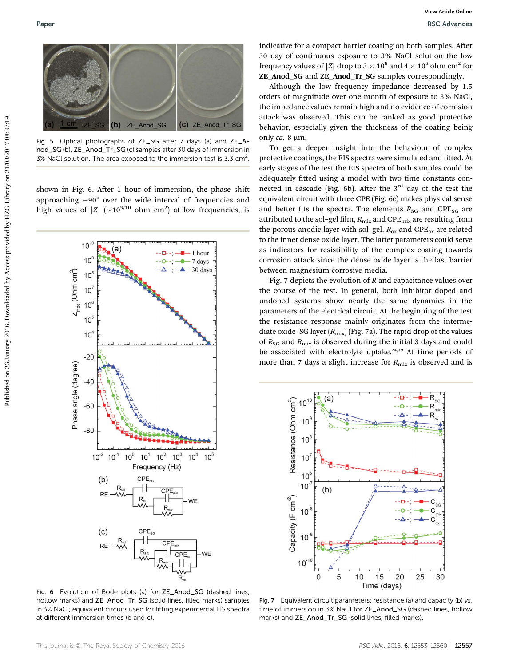

Fig. 5 Optical photographs of ZE\_SG after 7 days (a) and ZE\_Anod\_SG (b), ZE\_Anod\_Tr\_SG (c) samples after 30 days of immersion in 3% NaCl solution. The area exposed to the immersion test is 3.3 cm<sup>2</sup>.

shown in Fig. 6. After 1 hour of immersion, the phase shift approaching  $-90^\circ$  over the wide interval of frequencies and high values of  $|Z|$   $(\sim 10^{9/10}$  ohm cm<sup>2</sup>) at low frequencies, is



Fig. 6 Evolution of Bode plots (a) for ZE\_Anod\_SG (dashed lines, hollow marks) and ZE\_Anod\_Tr\_SG (solid lines, filled marks) samples in 3% NaCl; equivalent circuits used for fitting experimental EIS spectra at different immersion times (b and c).

indicative for a compact barrier coating on both samples. After 30 day of continuous exposure to 3% NaCl solution the low frequency values of |Z| drop to 3  $\times$  10<sup>8</sup> and 4  $\times$  10<sup>8</sup> ohm cm<sup>2</sup> for ZE\_Anod\_SG and ZE\_Anod\_Tr\_SG samples correspondingly.

Although the low frequency impedance decreased by 1.5 orders of magnitude over one month of exposure to 3% NaCl, the impedance values remain high and no evidence of corrosion attack was observed. This can be ranked as good protective behavior, especially given the thickness of the coating being only  $ca. 8 \mu m$ .

To get a deeper insight into the behaviour of complex protective coatings, the EIS spectra were simulated and fitted. At early stages of the test the EIS spectra of both samples could be adequately fitted using a model with two time constants connected in cascade (Fig. 6b). After the  $3<sup>rd</sup>$  day of the test the equivalent circuit with three CPE (Fig. 6c) makes physical sense and better fits the spectra. The elements  $R_{SG}$  and CPE<sub>SG</sub> are attributed to the sol-gel film,  $R_{\text{mix}}$  and CPE $_{\text{mix}}$  are resulting from the porous anodic layer with sol–gel.  $R_{ox}$  and CPE<sub>ox</sub> are related to the inner dense oxide layer. The latter parameters could serve as indicators for resistibility of the complex coating towards corrosion attack since the dense oxide layer is the last barrier between magnesium corrosive media.

Fig. 7 depicts the evolution of  $R$  and capacitance values over the course of the test. In general, both inhibitor doped and undoped systems show nearly the same dynamics in the parameters of the electrical circuit. At the beginning of the test the resistance response mainly originates from the intermediate oxide–SG layer  $(R_{\text{mix}})$  (Fig. 7a). The rapid drop of the values of  $R_{SG}$  and  $R_{mix}$  is observed during the initial 3 days and could be associated with electrolyte uptake.<sup>24,39</sup> At time periods of more than 7 days a slight increase for  $R_{\text{mix}}$  is observed and is



Fig. 7 Equivalent circuit parameters: resistance (a) and capacity (b) vs. time of immersion in 3% NaCl for ZE\_Anod\_SG (dashed lines, hollow marks) and **ZE\_Anod\_Tr\_SG** (solid lines, filled marks).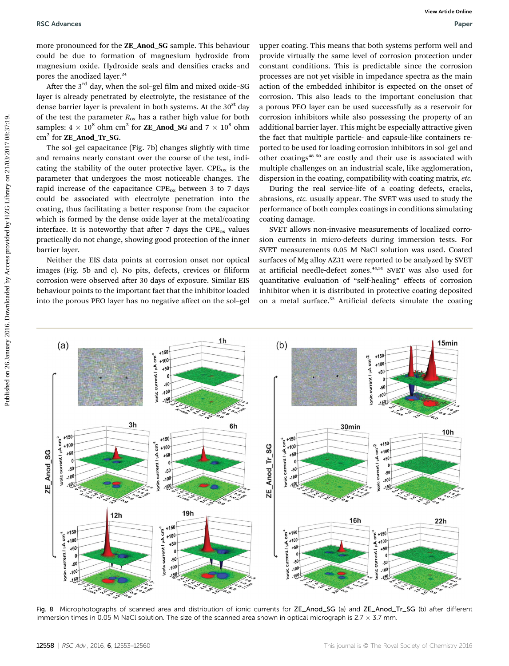more pronounced for the ZE\_Anod\_SG sample. This behaviour could be due to formation of magnesium hydroxide from magnesium oxide. Hydroxide seals and densifies cracks and pores the anodized layer.<sup>24</sup>

After the  $3<sup>rd</sup>$  day, when the sol-gel film and mixed oxide–SG layer is already penetrated by electrolyte, the resistance of the dense barrier layer is prevalent in both systems. At the 30<sup>st</sup> day of the test the parameter  $R_{\text{ox}}$  has a rather high value for both samples:  $4 \times 10^8$  ohm cm<sup>2</sup> for **ZE\_Anod\_SG** and  $7 \times 10^8$  ohm cm<sup>2</sup> for **ZE\_Anod\_Tr\_SG.** 

The sol–gel capacitance (Fig. 7b) changes slightly with time and remains nearly constant over the course of the test, indicating the stability of the outer protective layer.  $CPE_{ox}$  is the parameter that undergoes the most noticeable changes. The rapid increase of the capacitance  $\text{CPE}_{ox}$  between 3 to 7 days could be associated with electrolyte penetration into the coating, thus facilitating a better response from the capacitor which is formed by the dense oxide layer at the metal/coating interface. It is noteworthy that after 7 days the  $\text{CPE}_{ox}$  values practically do not change, showing good protection of the inner barrier layer.

Neither the EIS data points at corrosion onset nor optical images (Fig. 5b and c). No pits, defects, crevices or filiform corrosion were observed after 30 days of exposure. Similar EIS behaviour points to the important fact that the inhibitor loaded into the porous PEO layer has no negative affect on the sol–gel upper coating. This means that both systems perform well and provide virtually the same level of corrosion protection under constant conditions. This is predictable since the corrosion processes are not yet visible in impedance spectra as the main action of the embedded inhibitor is expected on the onset of corrosion. This also leads to the important conclusion that a porous PEO layer can be used successfully as a reservoir for corrosion inhibitors while also possessing the property of an additional barrier layer. This might be especially attractive given the fact that multiple particle- and capsule-like containers reported to be used for loading corrosion inhibitors in sol–gel and other coatings<sup>48</sup>–<sup>50</sup> are costly and their use is associated with multiple challenges on an industrial scale, like agglomeration, dispersion in the coating, compatibility with coating matrix, etc.

During the real service-life of a coating defects, cracks, abrasions, etc. usually appear. The SVET was used to study the performance of both complex coatings in conditions simulating coating damage.

SVET allows non-invasive measurements of localized corrosion currents in micro-defects during immersion tests. For SVET measurements 0.05 M NaCl solution was used. Coated surfaces of Mg alloy AZ31 were reported to be analyzed by SVET at artificial needle-defect zones.<sup>44,51</sup> SVET was also used for quantitative evaluation of "self-healing" effects of corrosion inhibitor when it is distributed in protective coating deposited on a metal surface.<sup>52</sup> Artificial defects simulate the coating



Fig. 8 Microphotographs of scanned area and distribution of ionic currents for ZE\_Anod\_SG (a) and ZE\_Anod\_Tr\_SG (b) after different immersion times in 0.05 M NaCl solution. The size of the scanned area shown in optical micrograph is  $2.7 \times 3.7$  mm.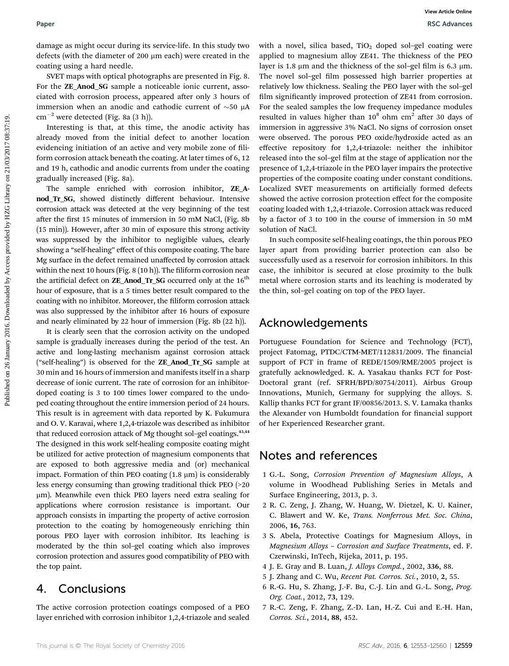damage as might occur during its service-life. In this study two defects (with the diameter of 200 µm each) were created in the coating using a hard needle.

SVET maps with optical photographs are presented in Fig. 8. For the ZE\_Anod\_SG sample a noticeable ionic current, associated with corrosion process, appeared after only 3 hours of immersion when an anodic and cathodic current of  $\sim$ 50  $\mu$ A  $cm^{-2}$  were detected (Fig. 8a (3 h)).

Interesting is that, at this time, the anodic activity has already moved from the initial defect to another location evidencing initiation of an active and very mobile zone of filiform corrosion attack beneath the coating. At later times of 6, 12 and 19 h, cathodic and anodic currents from under the coating gradually increased (Fig. 8a).

The sample enriched with corrosion inhibitor, **ZE** Anod\_Tr\_SG, showed distinctly different behaviour. Intensive corrosion attack was detected at the very beginning of the test after the first 15 minutes of immersion in 50 mM NaCl, (Fig. 8b)  $(15 \text{ min})$ ). However, after 30 min of exposure this strong activity was suppressed by the inhibitor to negligible values, clearly showing a "self-healing" effect of this composite coating. The bare Mg surface in the defect remained unaffected by corrosion attack within the next 10 hours (Fig.  $8(10 h)$ ). The filiform corrosion near the artificial defect on **ZE\_Anod\_Tr\_SG** occurred only at the  $16<sup>th</sup>$ hour of exposure, that is a 5 times better result compared to the coating with no inhibitor. Moreover, the filiform corrosion attack was also suppressed by the inhibitor after 16 hours of exposure and nearly eliminated by 22 hour of immersion (Fig. 8b (22 h)).

It is clearly seen that the corrosion activity on the undoped sample is gradually increases during the period of the test. An active and long-lasting mechanism against corrosion attack ("self-healing") is observed for the ZE\_Anod\_Tr\_SG sample at 30 min and 16 hours of immersion and manifests itself in a sharp decrease of ionic current. The rate of corrosion for an inhibitordoped coating is 3 to 100 times lower compared to the undoped coating throughout the entire immersion period of 24 hours. This result is in agreement with data reported by K. Fukumura and O. V. Karavai, where 1,2,4-triazole was described as inhibitor that reduced corrosion attack of Mg thought sol-gel coatings.<sup>43,44</sup> The designed in this work self-healing composite coating might be utilized for active protection of magnesium components that are exposed to both aggressive media and (or) mechanical impact. Formation of thin PEO coating  $(1.8 \mu m)$  is considerably less energy consuming than growing traditional thick PEO (>20 mm). Meanwhile even thick PEO layers need extra sealing for applications where corrosion resistance is important. Our approach consists in imparting the property of active corrosion protection to the coating by homogeneously enriching thin porous PEO layer with corrosion inhibitor. Its leaching is moderated by the thin sol–gel coating which also improves corrosion protection and assures good compatibility of PEO with the top paint.

### 4. Conclusions

The active corrosion protection coatings composed of a PEO layer enriched with corrosion inhibitor 1,2,4-triazole and sealed

with a novel, silica based,  $TiO<sub>2</sub>$  doped sol-gel coating were applied to magnesium alloy ZE41. The thickness of the PEO layer is 1.8  $\mu$ m and the thickness of the sol-gel film is 6.3  $\mu$ m. The novel sol-gel film possessed high barrier properties at relatively low thickness. Sealing the PEO layer with the sol–gel film significantly improved protection of ZE41 from corrosion. For the sealed samples the low frequency impedance modules resulted in values higher than  $10^8$  ohm cm<sup>2</sup> after 30 days of immersion in aggressive 3% NaCl. No signs of corrosion onset were observed. The porous PEO oxide/hydroxide acted as an effective repository for 1,2,4-triazole: neither the inhibitor released into the sol-gel film at the stage of application nor the presence of 1,2,4-triazole in the PEO layer impairs the protective properties of the composite coating under constant conditions. Localized SVET measurements on artificially formed defects showed the active corrosion protection effect for the composite coating loaded with 1,2,4-triazole. Corrosion attack was reduced by a factor of 3 to 100 in the course of immersion in 50 mM solution of NaCl. **Puer and the control on 26 January 2016.** We also the signific control on 26 January 2016. By Access properties in the signific control on 2016. The properties provided by Access proceeds in the signific value of the fig

In such composite self-healing coatings, the thin porous PEO layer apart from providing barrier protection can also be successfully used as a reservoir for corrosion inhibitors. In this case, the inhibitor is secured at close proximity to the bulk metal where corrosion starts and its leaching is moderated by the thin, sol–gel coating on top of the PEO layer.

### Acknowledgements

Portuguese Foundation for Science and Technology (FCT), project Fatomag, PTDC/CTM-MET/112831/2009. The financial support of FCT in frame of REDE/1509/RME/2005 project is gratefully acknowledged. K. A. Yasakau thanks FCT for Post-Doctoral grant (ref. SFRH/BPD/80754/2011). Airbus Group Innovations, Munich, Germany for supplying the alloys. S. Kallip thanks FCT for grant IF/00856/2013. S. V. Lamaka thanks the Alexander von Humboldt foundation for financial support of her Experienced Researcher grant.

### Notes and references

- 1 G.-L. Song, Corrosion Prevention of Magnesium Alloys, A volume in Woodhead Publishing Series in Metals and Surface Engineering, 2013, p. 3.
- 2 R. C. Zeng, J. Zhang, W. Huang, W. Dietzel, K. U. Kainer, C. Blawert and W. Ke, Trans. Nonferrous Met. Soc. China, 2006, 16, 763.
- 3 S. Abela, Protective Coatings for Magnesium Alloys, in Magnesium Alloys – Corrosion and Surface Treatments, ed. F. Czerwinski, InTech, Rijeka, 2011, p. 195.
- 4 J. E. Gray and B. Luan, J. Alloys Compd., 2002, 336, 88.
- 5 J. Zhang and C. Wu, Recent Pat. Corros. Sci., 2010, 2, 55.
- 6 R.-G. Hu, S. Zhang, J.-F. Bu, C.-J. Lin and G.-L. Song, Prog. Org. Coat., 2012, 73, 129.
- 7 R.-C. Zeng, F. Zhang, Z.-D. Lan, H.-Z. Cui and E.-H. Han, Corros. Sci., 2014, 88, 452.